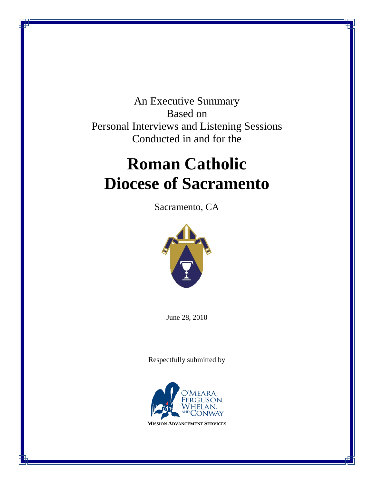An Executive Summary Based on Personal Interviews and Listening Sessions Conducted in and for the

# **Roman Catholic Diocese of Sacramento**

Sacramento, CA



June 28, 2010

Respectfully submitted by

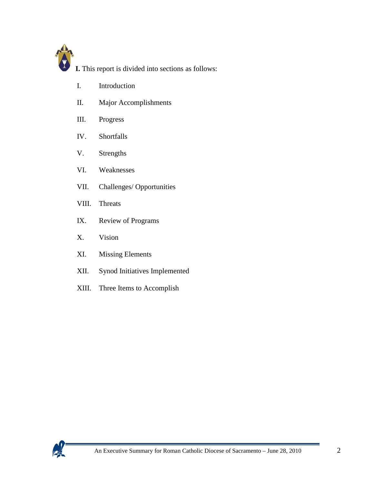

**I.** This report is divided into sections as follows:

- I. Introduction
- II. Major Accomplishments
- III. Progress
- IV. Shortfalls
- V. Strengths
- VI. Weaknesses
- VII. Challenges/ Opportunities
- VIII. Threats
- IX. Review of Programs
- X. Vision
- XI. Missing Elements
- XII. Synod Initiatives Implemented
- XIII. Three Items to Accomplish

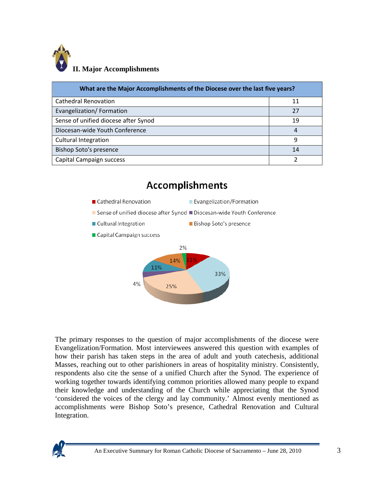

| What are the Major Accomplishments of the Diocese over the last five years? |    |  |
|-----------------------------------------------------------------------------|----|--|
| <b>Cathedral Renovation</b>                                                 | 11 |  |
| Evangelization/Formation                                                    | 27 |  |
| Sense of unified diocese after Synod                                        | 19 |  |
| Diocesan-wide Youth Conference                                              | 4  |  |
| <b>Cultural Integration</b>                                                 | q  |  |
| <b>Bishop Soto's presence</b>                                               | 14 |  |
| Capital Campaign success                                                    |    |  |



The primary responses to the question of major accomplishments of the diocese were Evangelization/Formation. Most interviewees answered this question with examples of how their parish has taken steps in the area of adult and youth catechesis, additional Masses, reaching out to other parishioners in areas of hospitality ministry. Consistently, respondents also cite the sense of a unified Church after the Synod. The experience of working together towards identifying common priorities allowed many people to expand their knowledge and understanding of the Church while appreciating that the Synod 'considered the voices of the clergy and lay community.' Almost evenly mentioned as accomplishments were Bishop Soto's presence, Cathedral Renovation and Cultural Integration.

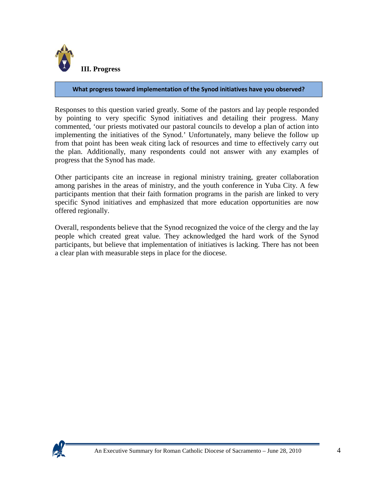

#### **What progress toward implementation of the Synod initiatives have you observed?**

Responses to this question varied greatly. Some of the pastors and lay people responded by pointing to very specific Synod initiatives and detailing their progress. Many commented, 'our priests motivated our pastoral councils to develop a plan of action into implementing the initiatives of the Synod.' Unfortunately, many believe the follow up from that point has been weak citing lack of resources and time to effectively carry out the plan. Additionally, many respondents could not answer with any examples of progress that the Synod has made.

Other participants cite an increase in regional ministry training, greater collaboration among parishes in the areas of ministry, and the youth conference in Yuba City. A few participants mention that their faith formation programs in the parish are linked to very specific Synod initiatives and emphasized that more education opportunities are now offered regionally.

Overall, respondents believe that the Synod recognized the voice of the clergy and the lay people which created great value. They acknowledged the hard work of the Synod participants, but believe that implementation of initiatives is lacking. There has not been a clear plan with measurable steps in place for the diocese.

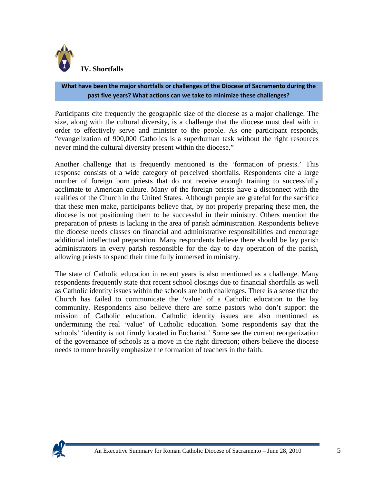

#### **What have been the major shortfalls or challenges of the Diocese of Sacramento during the past five years? What actions can we take to minimize these challenges?**

Participants cite frequently the geographic size of the diocese as a major challenge. The size, along with the cultural diversity, is a challenge that the diocese must deal with in order to effectively serve and minister to the people. As one participant responds, "evangelization of 900,000 Catholics is a superhuman task without the right resources never mind the cultural diversity present within the diocese."

Another challenge that is frequently mentioned is the 'formation of priests.' This response consists of a wide category of perceived shortfalls. Respondents cite a large number of foreign born priests that do not receive enough training to successfully acclimate to American culture. Many of the foreign priests have a disconnect with the realities of the Church in the United States. Although people are grateful for the sacrifice that these men make, participants believe that, by not properly preparing these men, the diocese is not positioning them to be successful in their ministry. Others mention the preparation of priests is lacking in the area of parish administration. Respondents believe the diocese needs classes on financial and administrative responsibilities and encourage additional intellectual preparation. Many respondents believe there should be lay parish administrators in every parish responsible for the day to day operation of the parish, allowing priests to spend their time fully immersed in ministry.

The state of Catholic education in recent years is also mentioned as a challenge. Many respondents frequently state that recent school closings due to financial shortfalls as well as Catholic identity issues within the schools are both challenges. There is a sense that the Church has failed to communicate the 'value' of a Catholic education to the lay community. Respondents also believe there are some pastors who don't support the mission of Catholic education. Catholic identity issues are also mentioned as undermining the real 'value' of Catholic education. Some respondents say that the schools' 'identity is not firmly located in Eucharist.' Some see the current reorganization of the governance of schools as a move in the right direction; others believe the diocese needs to more heavily emphasize the formation of teachers in the faith.

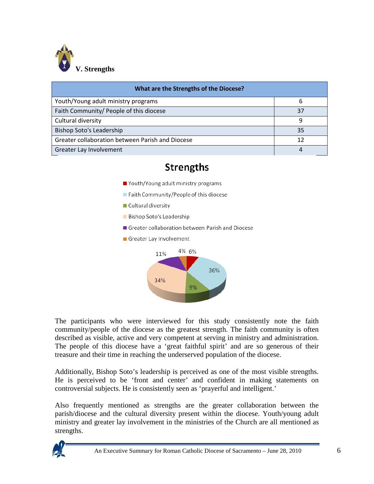

| What are the Strengths of the Diocese?           |    |  |
|--------------------------------------------------|----|--|
| Youth/Young adult ministry programs              | h  |  |
| Faith Community/ People of this diocese          | 37 |  |
| Cultural diversity                               | q  |  |
| Bishop Soto's Leadership                         | 35 |  |
| Greater collaboration between Parish and Diocese | 12 |  |
| Greater Lay Involvement                          |    |  |

# **Strengths**

- Youth/Young adult ministry programs
- Faith Community/People of this diocese
- Cultural diversity
- **Bishop Soto's Leadership**
- Greater collaboration between Parish and Diocese
- Greater Lay Involvement



The participants who were interviewed for this study consistently note the faith community/people of the diocese as the greatest strength. The faith community is often described as visible, active and very competent at serving in ministry and administration. The people of this diocese have a 'great faithful spirit' and are so generous of their treasure and their time in reaching the underserved population of the diocese.

Additionally, Bishop Soto's leadership is perceived as one of the most visible strengths. He is perceived to be 'front and center' and confident in making statements on controversial subjects. He is consistently seen as 'prayerful and intelligent.'

Also frequently mentioned as strengths are the greater collaboration between the parish/diocese and the cultural diversity present within the diocese. Youth/young adult ministry and greater lay involvement in the ministries of the Church are all mentioned as strengths.

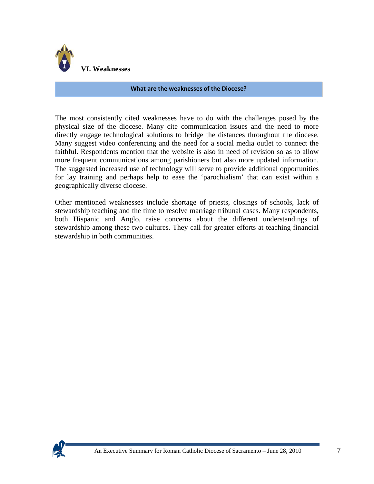

#### **What are the weaknesses of the Diocese?**

The most consistently cited weaknesses have to do with the challenges posed by the physical size of the diocese. Many cite communication issues and the need to more directly engage technological solutions to bridge the distances throughout the diocese. Many suggest video conferencing and the need for a social media outlet to connect the faithful. Respondents mention that the website is also in need of revision so as to allow more frequent communications among parishioners but also more updated information. The suggested increased use of technology will serve to provide additional opportunities for lay training and perhaps help to ease the 'parochialism' that can exist within a geographically diverse diocese.

Other mentioned weaknesses include shortage of priests, closings of schools, lack of stewardship teaching and the time to resolve marriage tribunal cases. Many respondents, both Hispanic and Anglo, raise concerns about the different understandings of stewardship among these two cultures. They call for greater efforts at teaching financial stewardship in both communities.

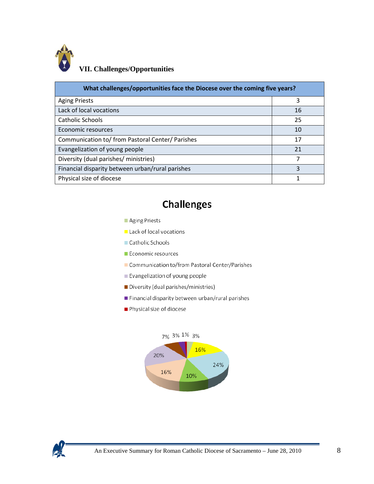

## **VII. Challenges/Opportunities**

| What challenges/opportunities face the Diocese over the coming five years? |    |  |
|----------------------------------------------------------------------------|----|--|
| <b>Aging Priests</b>                                                       | 3  |  |
| Lack of local vocations                                                    | 16 |  |
| Catholic Schools                                                           | 25 |  |
| Economic resources                                                         | 10 |  |
| Communication to/ from Pastoral Center/ Parishes                           | 17 |  |
| Evangelization of young people                                             | 21 |  |
| Diversity (dual parishes/ ministries)                                      | 7  |  |
| Financial disparity between urban/rural parishes                           | 3  |  |
| Physical size of diocese                                                   |    |  |

# **Challenges**



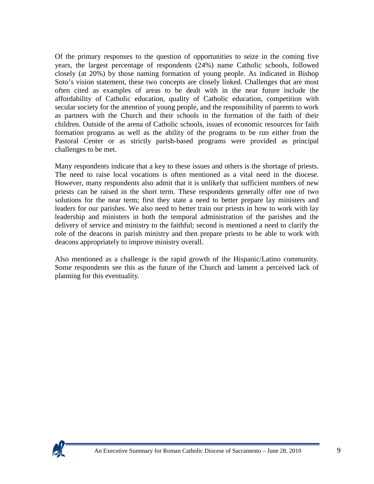Of the primary responses to the question of opportunities to seize in the coming five years, the largest percentage of respondents (24%) name Catholic schools, followed closely (at 20%) by those naming formation of young people. As indicated in Bishop Soto's vision statement, these two concepts are closely linked. Challenges that are most often cited as examples of areas to be dealt with in the near future include the affordability of Catholic education, quality of Catholic education, competition with secular society for the attention of young people, and the responsibility of parents to work as partners with the Church and their schools in the formation of the faith of their children. Outside of the arena of Catholic schools, issues of economic resources for faith formation programs as well as the ability of the programs to be run either from the Pastoral Center or as strictly parish-based programs were provided as principal challenges to be met.

Many respondents indicate that a key to these issues and others is the shortage of priests. The need to raise local vocations is often mentioned as a vital need in the diocese. However, many respondents also admit that it is unlikely that sufficient numbers of new priests can be raised in the short term. These respondents generally offer one of two solutions for the near term; first they state a need to better prepare lay ministers and leaders for our parishes. We also need to better train our priests in how to work with lay leadership and ministers in both the temporal administration of the parishes and the delivery of service and ministry to the faithful; second is mentioned a need to clarify the role of the deacons in parish ministry and then prepare priests to be able to work with deacons appropriately to improve ministry overall.

Also mentioned as a challenge is the rapid growth of the Hispanic/Latino community. Some respondents see this as the future of the Church and lament a perceived lack of planning for this eventuality.

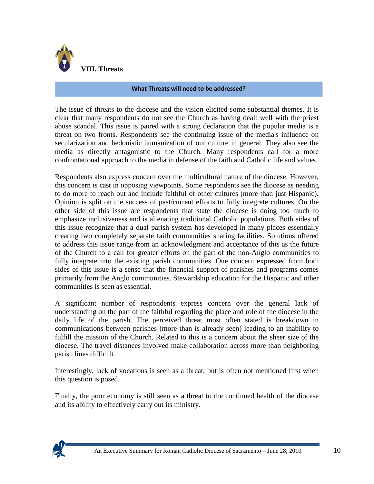

#### **What Threats will need to be addressed?**

The issue of threats to the diocese and the vision elicited some substantial themes. It is clear that many respondents do not see the Church as having dealt well with the priest abuse scandal. This issue is paired with a strong declaration that the popular media is a threat on two fronts. Respondents see the continuing issue of the media's influence on secularization and hedonistic humanization of our culture in general. They also see the media as directly antagonistic to the Church. Many respondents call for a more confrontational approach to the media in defense of the faith and Catholic life and values.

Respondents also express concern over the multicultural nature of the diocese. However, this concern is cast in opposing viewpoints. Some respondents see the diocese as needing to do more to reach out and include faithful of other cultures (more than just Hispanic). Opinion is split on the success of past/current efforts to fully integrate cultures. On the other side of this issue are respondents that state the diocese is doing too much to emphasize inclusiveness and is alienating traditional Catholic populations. Both sides of this issue recognize that a dual parish system has developed in many places essentially creating two completely separate faith communities sharing facilities. Solutions offered to address this issue range from an acknowledgment and acceptance of this as the future of the Church to a call for greater efforts on the part of the non-Anglo communities to fully integrate into the existing parish communities. One concern expressed from both sides of this issue is a sense that the financial support of parishes and programs comes primarily from the Anglo communities. Stewardship education for the Hispanic and other communities is seen as essential.

A significant number of respondents express concern over the general lack of understanding on the part of the faithful regarding the place and role of the diocese in the daily life of the parish. The perceived threat most often stated is breakdown in communications between parishes (more than is already seen) leading to an inability to fulfill the mission of the Church. Related to this is a concern about the sheer size of the diocese. The travel distances involved make collaboration across more than neighboring parish lines difficult.

Interestingly, lack of vocations is seen as a threat, but is often not mentioned first when this question is posed.

Finally, the poor economy is still seen as a threat to the continued health of the diocese and its ability to effectively carry out its ministry.

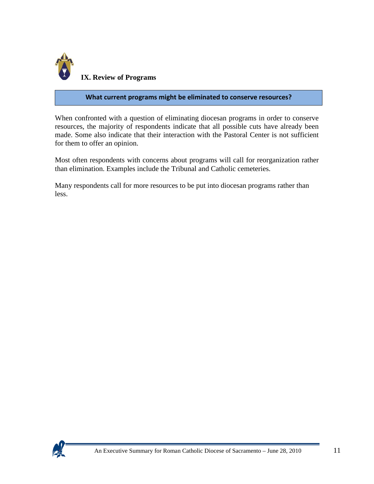

#### **What current programs might be eliminated to conserve resources?**

When confronted with a question of eliminating diocesan programs in order to conserve resources, the majority of respondents indicate that all possible cuts have already been made. Some also indicate that their interaction with the Pastoral Center is not sufficient for them to offer an opinion.

Most often respondents with concerns about programs will call for reorganization rather than elimination. Examples include the Tribunal and Catholic cemeteries.

Many respondents call for more resources to be put into diocesan programs rather than less.

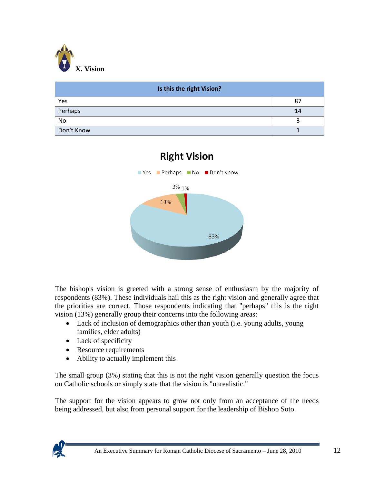

| Is this the right Vision? |    |  |
|---------------------------|----|--|
| Yes                       | 87 |  |
| Perhaps                   | 14 |  |
| No                        |    |  |
| Don't Know                |    |  |



The bishop's vision is greeted with a strong sense of enthusiasm by the majority of respondents (83%). These individuals hail this as the right vision and generally agree that the priorities are correct. Those respondents indicating that "perhaps" this is the right vision (13%) generally group their concerns into the following areas:

- Lack of inclusion of demographics other than youth (i.e. young adults, young families, elder adults)
- Lack of specificity
- Resource requirements
- Ability to actually implement this

The small group (3%) stating that this is not the right vision generally question the focus on Catholic schools or simply state that the vision is "unrealistic."

The support for the vision appears to grow not only from an acceptance of the needs being addressed, but also from personal support for the leadership of Bishop Soto.

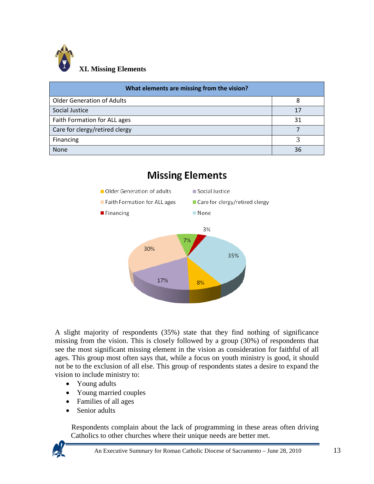

| What elements are missing from the vision? |    |
|--------------------------------------------|----|
| <b>Older Generation of Adults</b>          | 8  |
| Social Justice                             | 17 |
| Faith Formation for ALL ages               | 31 |
| Care for clergy/retired clergy             |    |
| Financing                                  |    |
| <b>None</b>                                | 36 |



A slight majority of respondents (35%) state that they find nothing of significance missing from the vision. This is closely followed by a group (30%) of respondents that see the most significant missing element in the vision as consideration for faithful of all ages. This group most often says that, while a focus on youth ministry is good, it should not be to the exclusion of all else. This group of respondents states a desire to expand the vision to include ministry to:

- Young adults
- Young married couples
- Families of all ages
- Senior adults

 Respondents complain about the lack of programming in these areas often driving Catholics to other churches where their unique needs are better met.

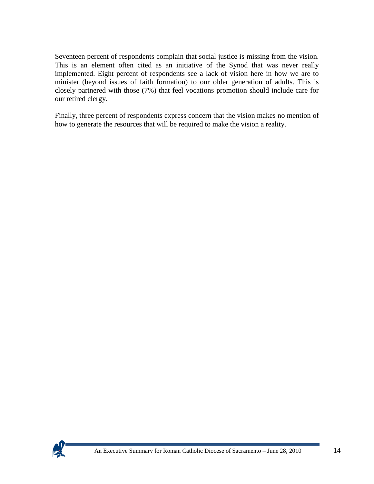Seventeen percent of respondents complain that social justice is missing from the vision. This is an element often cited as an initiative of the Synod that was never really implemented. Eight percent of respondents see a lack of vision here in how we are to minister (beyond issues of faith formation) to our older generation of adults. This is closely partnered with those (7%) that feel vocations promotion should include care for our retired clergy.

Finally, three percent of respondents express concern that the vision makes no mention of how to generate the resources that will be required to make the vision a reality.

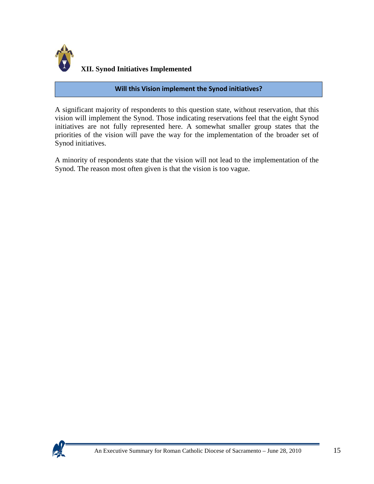

#### **Will this Vision implement the Synod initiatives?**

A significant majority of respondents to this question state, without reservation, that this vision will implement the Synod. Those indicating reservations feel that the eight Synod initiatives are not fully represented here. A somewhat smaller group states that the priorities of the vision will pave the way for the implementation of the broader set of Synod initiatives.

A minority of respondents state that the vision will not lead to the implementation of the Synod. The reason most often given is that the vision is too vague.

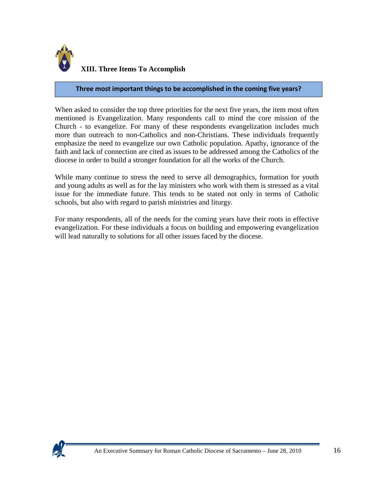

#### **Three most important things to be accomplished in the coming five years?**

When asked to consider the top three priorities for the next five years, the item most often mentioned is Evangelization. Many respondents call to mind the core mission of the Church - to evangelize. For many of these respondents evangelization includes much more than outreach to non-Catholics and non-Christians. These individuals frequently emphasize the need to evangelize our own Catholic population. Apathy, ignorance of the faith and lack of connection are cited as issues to be addressed among the Catholics of the diocese in order to build a stronger foundation for all the works of the Church.

While many continue to stress the need to serve all demographics, formation for youth and young adults as well as for the lay ministers who work with them is stressed as a vital issue for the immediate future. This tends to be stated not only in terms of Catholic schools, but also with regard to parish ministries and liturgy.

For many respondents, all of the needs for the coming years have their roots in effective evangelization. For these individuals a focus on building and empowering evangelization will lead naturally to solutions for all other issues faced by the diocese.

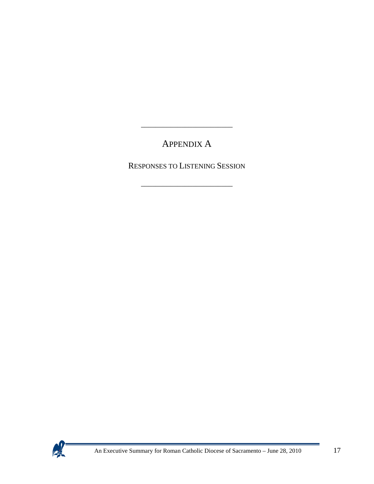# APPENDIX A

\_\_\_\_\_\_\_\_\_\_\_\_\_\_\_\_\_\_\_\_\_\_\_\_\_

RESPONSES TO LISTENING SESSION

\_\_\_\_\_\_\_\_\_\_\_\_\_\_\_\_\_\_\_\_\_\_\_\_\_



 $\mathcal{L}(\mathcal{L}^{\text{max}}_{\mathcal{L}})$  and the contract of  $\mathcal{L}^{\text{max}}_{\mathcal{L}}$  . The contract of  $\mathcal{L}^{\text{max}}_{\mathcal{L}}$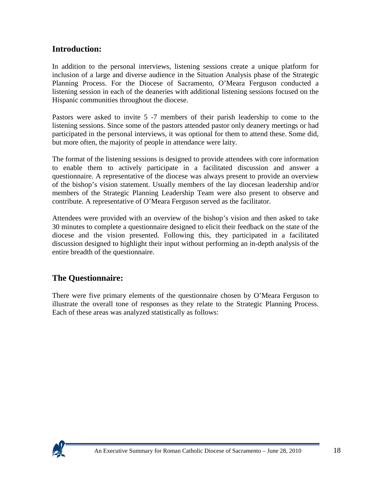### **Introduction:**

In addition to the personal interviews, listening sessions create a unique platform for inclusion of a large and diverse audience in the Situation Analysis phase of the Strategic Planning Process. For the Diocese of Sacramento, O'Meara Ferguson conducted a listening session in each of the deaneries with additional listening sessions focused on the Hispanic communities throughout the diocese.

Pastors were asked to invite 5 -7 members of their parish leadership to come to the listening sessions. Since some of the pastors attended pastor only deanery meetings or had participated in the personal interviews, it was optional for them to attend these. Some did, but more often, the majority of people in attendance were laity.

The format of the listening sessions is designed to provide attendees with core information to enable them to actively participate in a facilitated discussion and answer a questionnaire. A representative of the diocese was always present to provide an overview of the bishop's vision statement. Usually members of the lay diocesan leadership and/or members of the Strategic Planning Leadership Team were also present to observe and contribute. A representative of O'Meara Ferguson served as the facilitator.

Attendees were provided with an overview of the bishop's vision and then asked to take 30 minutes to complete a questionnaire designed to elicit their feedback on the state of the diocese and the vision presented. Following this, they participated in a facilitated discussion designed to highlight their input without performing an in-depth analysis of the entire breadth of the questionnaire.

### **The Questionnaire:**

There were five primary elements of the questionnaire chosen by O'Meara Ferguson to illustrate the overall tone of responses as they relate to the Strategic Planning Process. Each of these areas was analyzed statistically as follows:

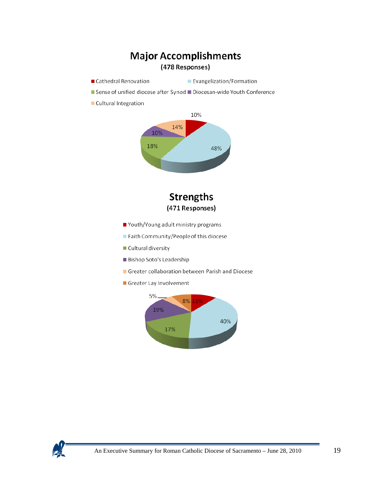

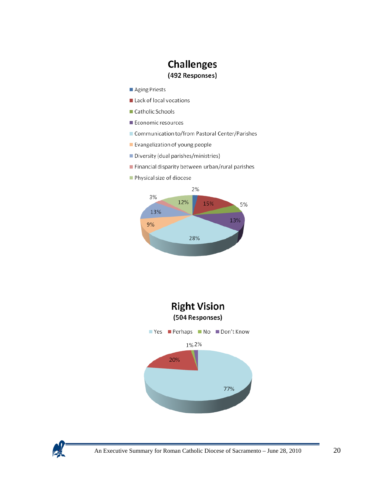### **Challenges** (492 Responses)

- Aging Priests
- Lack of local vocations
- Catholic Schools
- Economic resources
- Communication to/from Pastoral Center/Parishes
- Evangelization of young people
- Diversity (dual parishes/ministries)
- Financial disparity between urban/rural parishes
- Physical size of diocese





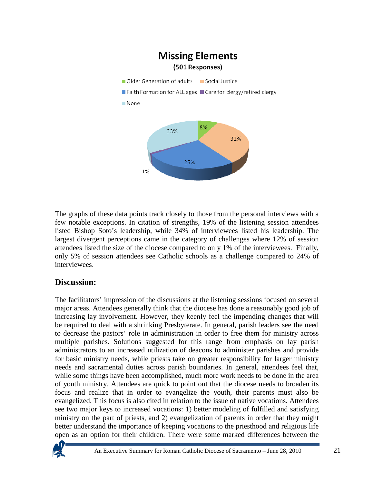

The graphs of these data points track closely to those from the personal interviews with a few notable exceptions. In citation of strengths, 19% of the listening session attendees listed Bishop Soto's leadership, while 34% of interviewees listed his leadership. The largest divergent perceptions came in the category of challenges where 12% of session attendees listed the size of the diocese compared to only 1% of the interviewees. Finally, only 5% of session attendees see Catholic schools as a challenge compared to 24% of interviewees.

### **Discussion:**

The facilitators' impression of the discussions at the listening sessions focused on several major areas. Attendees generally think that the diocese has done a reasonably good job of increasing lay involvement. However, they keenly feel the impending changes that will be required to deal with a shrinking Presbyterate. In general, parish leaders see the need to decrease the pastors' role in administration in order to free them for ministry across multiple parishes. Solutions suggested for this range from emphasis on lay parish administrators to an increased utilization of deacons to administer parishes and provide for basic ministry needs, while priests take on greater responsibility for larger ministry needs and sacramental duties across parish boundaries. In general, attendees feel that, while some things have been accomplished, much more work needs to be done in the area of youth ministry. Attendees are quick to point out that the diocese needs to broaden its focus and realize that in order to evangelize the youth, their parents must also be evangelized. This focus is also cited in relation to the issue of native vocations. Attendees see two major keys to increased vocations: 1) better modeling of fulfilled and satisfying ministry on the part of priests, and 2) evangelization of parents in order that they might better understand the importance of keeping vocations to the priesthood and religious life open as an option for their children. There were some marked differences between the

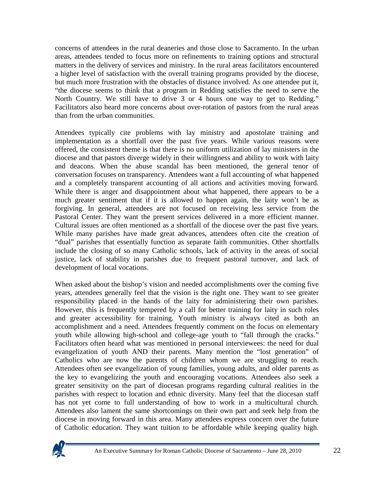concerns of attendees in the rural deaneries and those close to Sacramento. In the urban areas, attendees tended to focus more on refinements to training options and structural matters in the delivery of services and ministry. In the rural areas facilitators encountered a higher level of satisfaction with the overall training programs provided by the diocese, but much more frustration with the obstacles of distance involved. As one attendee put it, "the diocese seems to think that a program in Redding satisfies the need to serve the North Country. We still have to drive 3 or 4 hours one way to get to Redding." Facilitators also heard more concerns about over-rotation of pastors from the rural areas than from the urban communities.

Attendees typically cite problems with lay ministry and apostolate training and implementation as a shortfall over the past five years. While various reasons were offered, the consistent theme is that there is no uniform utilization of lay ministers in the diocese and that pastors diverge widely in their willingness and ability to work with laity and deacons. When the abuse scandal has been mentioned, the general tenor of conversation focuses on transparency. Attendees want a full accounting of what happened and a completely transparent accounting of all actions and activities moving forward. While there is anger and disappointment about what happened, there appears to be a much greater sentiment that if it is allowed to happen again, the laity won't be as forgiving. In general, attendees are not focused on receiving less service from the Pastoral Center. They want the present services delivered in a more efficient manner. Cultural issues are often mentioned as a shortfall of the diocese over the past five years. While many parishes have made great advances, attendees often cite the creation of "dual" parishes that essentially function as separate faith communities. Other shortfalls include the closing of so many Catholic schools, lack of activity in the areas of social justice, lack of stability in parishes due to frequent pastoral turnover, and lack of development of local vocations.

When asked about the bishop's vision and needed accomplishments over the coming five years, attendees generally feel that the vision is the right one. They want to see greater responsibility placed in the hands of the laity for administering their own parishes. However, this is frequently tempered by a call for better training for laity in such roles and greater accessibility for training. Youth ministry is always cited as both an accomplishment and a need. Attendees frequently comment on the focus on elementary youth while allowing high-school and college-age youth to "fall through the cracks." Facilitators often heard what was mentioned in personal interviewees: the need for dual evangelization of youth AND their parents. Many mention the "lost generation" of Catholics who are now the parents of children whom we are struggling to reach. Attendees often see evangelization of young families, young adults, and older parents as the key to evangelizing the youth and encouraging vocations. Attendees also seek a greater sensitivity on the part of diocesan programs regarding cultural realities in the parishes with respect to location and ethnic diversity. Many feel that the diocesan staff has not yet come to full understanding of how to work in a multicultural church. Attendees also lament the same shortcomings on their own part and seek help from the diocese in moving forward in this area. Many attendees express concern over the future of Catholic education. They want tuition to be affordable while keeping quality high.